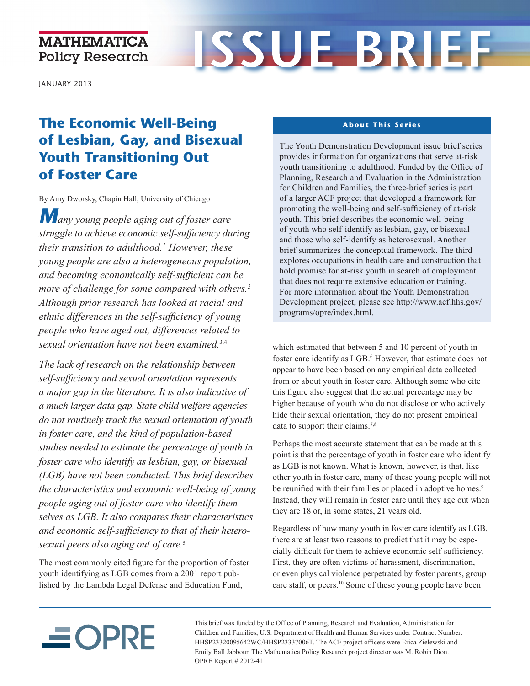### **MATHEMATICA Policy Research**

# **ISSUE BRIEF**

JANUARY 2013

# **The Economic Well-Being of Lesbian, Gay, and Bisexual Youth Transitioning Out of Foster Care**

By Amy Dworsky, Chapin Hall, University of Chicago

*Many young people aging out of foster care struggle to achieve economic self-sufficiency during their transition to adulthood.<sup>1</sup> However, these young people are also a heterogeneous population, and becoming economically self-sufficient can be more of challenge for some compared with others.<sup>2</sup> Although prior research has looked at racial and ethnic differences in the self-sufficiency of young people who have aged out, differences related to sexual orientation have not been examined.*3,4

*The lack of research on the relationship between self-sufficiency and sexual orientation represents a major gap in the literature. It is also indicative of a much larger data gap. State child welfare agencies do not routinely track the sexual orientation of youth in foster care, and the kind of population-based studies needed to estimate the percentage of youth in foster care who identify as lesbian, gay, or bisexual (LGB) have not been conducted. This brief describes the characteristics and economic well-being of young people aging out of foster care who identify themselves as LGB. It also compares their characteristics and economic self-sufficiency to that of their heterosexual peers also aging out of care.*<sup>5</sup>

The most commonly cited figure for the proportion of foster youth identifying as LGB comes from a 2001 report published by the Lambda Legal Defense and Education Fund,

#### **About This Series**

The Youth Demonstration Development issue brief series provides information for organizations that serve at-risk youth transitioning to adulthood. Funded by the Office of Planning, Research and Evaluation in the Administration for Children and Families, the three-brief series is part of a larger ACF project that developed a framework for promoting the well-being and self-sufficiency of at-risk youth. This brief describes the economic well-being of youth who self-identify as lesbian, gay, or bisexual and those who self-identify as heterosexual. Another brief summarizes the conceptual framework. The third explores occupations in health care and construction that hold promise for at-risk youth in search of employment that does not require extensive education or training. For more information about the Youth Demonstration Development project, please see [http://www.acf.hhs.gov/](http://www.acf.hhs.gov/programs/opre/index.html)  [programs/opre/index.html.](http://www.acf.hhs.gov/programs/opre/index.html)

which estimated that between 5 and 10 percent of youth in foster care identify as LGB.<sup>6</sup> However, that estimate does not appear to have been based on any empirical data collected from or about youth in foster care. Although some who cite this figure also suggest that the actual percentage may be higher because of youth who do not disclose or who actively hide their sexual orientation, they do not present empirical data to support their claims.<sup>7,8</sup>

Perhaps the most accurate statement that can be made at this point is that the percentage of youth in foster care who identify as LGB is not known. What is known, however, is that, like other youth in foster care, many of these young people will not be reunified with their families or placed in adoptive homes.<sup>9</sup> Instead, they will remain in foster care until they age out when they are 18 or, in some states, 21 years old.

Regardless of how many youth in foster care identify as LGB, there are at least two reasons to predict that it may be especially difficult for them to achieve economic self-sufficiency. First, they are often victims of harassment, discrimination, or even physical violence perpetrated by foster parents, group care staff, or peers.10 Some of these young people have been

# $\equiv$ OPRE

This brief was funded by the Office of Planning, Research and Evaluation, Administration for Children and Families, U.S. Department of Health and Human Services under Contract Number: HHSP23320095642WC/HHSP23337006T. The ACF project officers were Erica Zielewski and Emily Ball Jabbour. The Mathematica Policy Research project director was M. Robin Dion. OPRE Report # 2012-41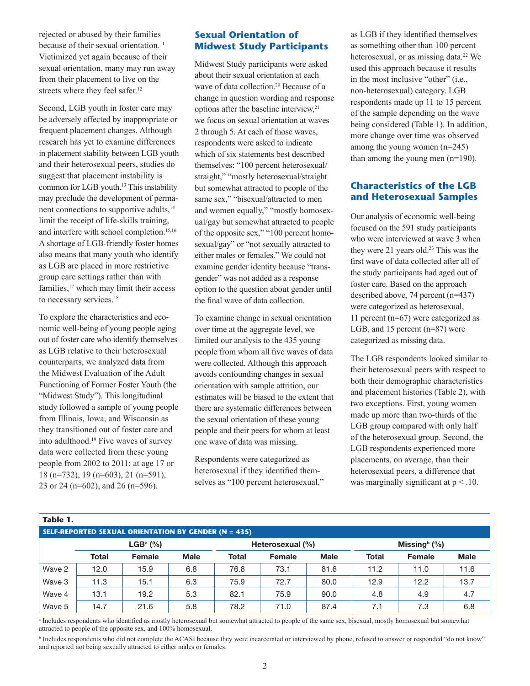rejected or abused by their families because of their sexual orientation.<sup>11</sup> Victimized yet again because of their sexual orientation, many may run away from their placement to live on the streets where they feel safer.<sup>12</sup>

Second, LGB youth in foster care may be adversely affected by inappropriate or frequent placement changes. Although research has yet to examine differences in placement stability between LGB youth and their heterosexual peers, studies do suggest that placement instability is common for LGB youth.13 This instability may preclude the development of permanent connections to supportive adults,<sup>14</sup> limit the receipt of life-skills training, and interfere with school completion.<sup>15,16</sup> A shortage of LGB-friendly foster homes also means that many youth who identify as LGB are placed in more restrictive group care settings rather than with families, $17$  which may limit their access to necessary services.<sup>18</sup>

To explore the characteristics and economic well-being of young people aging out of foster care who identify themselves as LGB relative to their heterosexual counterparts, we analyzed data from the Midwest Evaluation of the Adult Functioning of Former Foster Youth (the "Midwest Study"). This longitudinal study followed a sample of young people from Illinois, Iowa, and Wisconsin as they transitioned out of foster care and into adulthood.19 Five waves of survey data were collected from these young people from 2002 to 2011: at age 17 or 18 (n=732), 19 (n=603), 21 (n=591), 23 or 24 (n=602), and 26 (n=596).

#### **Sexual Orientation of Midwest Study Participants**

Midwest Study participants were asked about their sexual orientation at each wave of data collection.<sup>20</sup> Because of a change in question wording and response options after the baseline interview,<sup>21</sup> we focus on sexual orientation at waves 2 through 5. At each of those waves, respondents were asked to indicate which of six statements best described themselves: "100 percent heterosexual/ straight," "mostly heterosexual/straight but somewhat attracted to people of the same sex," "bisexual/attracted to men and women equally," "mostly homosexual/gay but somewhat attracted to people of the opposite sex," "100 percent homosexual/gay" or "not sexually attracted to either males or females." We could not examine gender identity because "transgender" was not added as a response option to the question about gender until the final wave of data collection.

To examine change in sexual orientation over time at the aggregate level, we limited our analysis to the 435 young people from whom all five waves of data were collected. Although this approach avoids confounding changes in sexual orientation with sample attrition, our estimates will be biased to the extent that there are systematic differences between the sexual orientation of these young people and their peers for whom at least one wave of data was missing.

Respondents were categorized as heterosexual if they identified themselves as "100 percent heterosexual,"

heterosexual, or as missing data.<sup>22</sup> We as LGB if they identified themselves as something other than 100 percent used this approach because it results in the most inclusive "other" (i.e., non-heterosexual) category. LGB respondents made up 11 to 15 percent of the sample depending on the wave being considered (Table 1). In addition, more change over time was observed among the young women (n=245) than among the young men (n=190).

#### **Characteristics of the LGB and Heterosexual Samples**

they were 21 years old.<sup>23</sup> This was the Our analysis of economic well-being focused on the 591 study participants who were interviewed at wave 3 when first wave of data collected after all of the study participants had aged out of foster care. Based on the approach described above, 74 percent (n=437) were categorized as heterosexual, 11 percent (n=67) were categorized as LGB, and 15 percent (n=87) were categorized as missing data.

The LGB respondents looked similar to their heterosexual peers with respect to both their demographic characteristics and placement histories (Table 2), with two exceptions. First, young women made up more than two-thirds of the LGB group compared with only half of the heterosexual group. Second, the LGB respondents experienced more placements, on average, than their heterosexual peers, a difference that was marginally significant at  $p < 0.10$ .

| Table 1.                                                    |              |        |             |                  |        |             |                           |        |             |
|-------------------------------------------------------------|--------------|--------|-------------|------------------|--------|-------------|---------------------------|--------|-------------|
| <b>SELF-REPORTED SEXUAL ORIENTATION BY GENDER (N = 435)</b> |              |        |             |                  |        |             |                           |        |             |
|                                                             | $LGBa$ (%)   |        |             | Heterosexual (%) |        |             | Missing $\frac{b}{b}$ (%) |        |             |
|                                                             | <b>Total</b> | Female | <b>Male</b> | <b>Total</b>     | Female | <b>Male</b> | Total                     | Female | <b>Male</b> |
| Wave 2                                                      | 12.0         | 15.9   | 6.8         | 76.8             | 73.1   | 81.6        | 11.2                      | 11.0   | 11.6        |
| Wave 3                                                      | 11.3         | 15.1   | 6.3         | 75.9             | 72.7   | 80.0        | 12.9                      | 12.2   | 13.7        |
| Wave 4                                                      | 13.1         | 19.2   | 5.3         | 82.1             | 75.9   | 90.0        | 4.8                       | 4.9    | 4.7         |
| Wave 5                                                      | 14.7         | 21.6   | 5.8         | 78.2             | 71.0   | 87.4        | 7.1                       | 7.3    | 6.8         |

a Includes respondents who identified as mostly heterosexual but somewhat attracted to people of the same sex, bisexual, mostly homosexual but somewhat attracted to people of the opposite sex, and 100% homosexual.

<sup>b</sup> Includes respondents who did not complete the ACASI because they were incarcerated or interviewed by phone, refused to answer or responded "do not know" and reported not being sexually attracted to either males or females.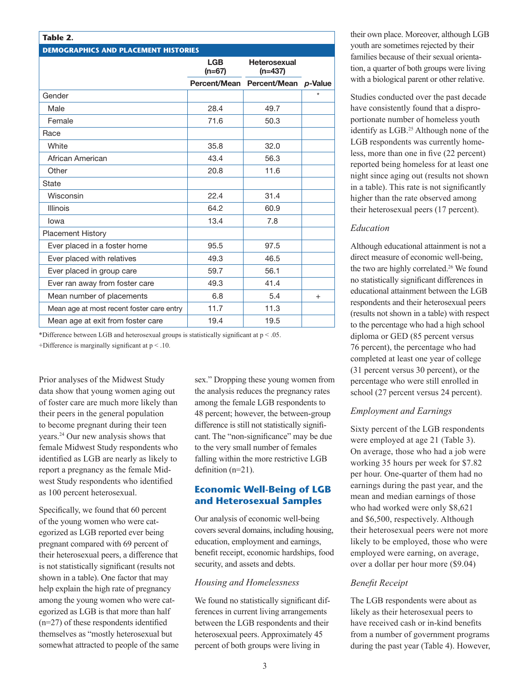| Table 2.                                    |                        |                                   |        |  |  |  |  |
|---------------------------------------------|------------------------|-----------------------------------|--------|--|--|--|--|
| <b>DEMOGRAPHICS AND PLACEMENT HISTORIES</b> |                        |                                   |        |  |  |  |  |
|                                             | <b>LGB</b><br>$(n=67)$ | <b>Heterosexual</b><br>$(n=437)$  |        |  |  |  |  |
|                                             |                        | Percent/Mean Percent/Mean p-Value |        |  |  |  |  |
| Gender                                      |                        |                                   |        |  |  |  |  |
| Male                                        | 28.4                   | 49.7                              |        |  |  |  |  |
| Female                                      | 71.6                   | 50.3                              |        |  |  |  |  |
| Race                                        |                        |                                   |        |  |  |  |  |
| White                                       | 35.8                   | 32.0                              |        |  |  |  |  |
| African American                            | 43.4                   | 56.3                              |        |  |  |  |  |
| Other                                       | 20.8                   | 11.6                              |        |  |  |  |  |
| State                                       |                        |                                   |        |  |  |  |  |
| Wisconsin                                   | 22.4                   | 31.4                              |        |  |  |  |  |
| <b>Illinois</b>                             | 64.2                   | 60.9                              |        |  |  |  |  |
| lowa                                        | 13.4                   | 7.8                               |        |  |  |  |  |
| <b>Placement History</b>                    |                        |                                   |        |  |  |  |  |
| Ever placed in a foster home                | 95.5                   | 97.5                              |        |  |  |  |  |
| Ever placed with relatives                  | 49.3                   | 46.5                              |        |  |  |  |  |
| Ever placed in group care                   | 59.7                   | 56.1                              |        |  |  |  |  |
| Ever ran away from foster care              | 49.3                   | 41.4                              |        |  |  |  |  |
| Mean number of placements                   | 6.8                    | 5.4                               | $^{+}$ |  |  |  |  |
| Mean age at most recent foster care entry   | 11.7                   | 11.3                              |        |  |  |  |  |
| Mean age at exit from foster care           | 19.4                   | 19.5                              |        |  |  |  |  |

\*Difference between LGB and heterosexual groups is statistically significant at  $p < .05$ . +Difference is marginally significant at  $p < 0.10$ .

Prior analyses of the Midwest Study data show that young women aging out of foster care are much more likely than their peers in the general population to become pregnant during their teen years.24 Our new analysis shows that female Midwest Study respondents who identified as LGB are nearly as likely to report a pregnancy as the female Midwest Study respondents who identified as 100 percent heterosexual.

Specifically, we found that 60 percent of the young women who were categorized as LGB reported ever being pregnant compared with 69 percent of their heterosexual peers, a difference that is not statistically significant (results not shown in a table). One factor that may help explain the high rate of pregnancy among the young women who were categorized as LGB is that more than half (n=27) of these respondents identified themselves as "mostly heterosexual but somewhat attracted to people of the same sex." Dropping these young women from the analysis reduces the pregnancy rates among the female LGB respondents to 48 percent; however, the between-group difference is still not statistically significant. The "non-significance" may be due to the very small number of females falling within the more restrictive LGB definition (n=21).

#### **Economic Well-Being of LGB and Heterosexual Samples**

Our analysis of economic well-being covers several domains, including housing, education, employment and earnings, benefit receipt, economic hardships, food security, and assets and debts.

#### *Housing and Homelessness*

We found no statistically significant differences in current living arrangements between the LGB respondents and their heterosexual peers. Approximately 45 percent of both groups were living in

their own place. Moreover, although LGB youth are sometimes rejected by their families because of their sexual orientation, a quarter of both groups were living with a biological parent or other relative.

Studies conducted over the past decade have consistently found that a disproportionate number of homeless youth identify as LGB.25 Although none of the LGB respondents was currently homeless, more than one in five (22 percent) reported being homeless for at least one night since aging out (results not shown in a table). This rate is not significantly higher than the rate observed among their heterosexual peers (17 percent).

#### *Education*

the two are highly correlated.<sup>26</sup> We found Although educational attainment is not a direct measure of economic well-being, no statistically significant differences in educational attainment between the LGB respondents and their heterosexual peers (results not shown in a table) with respect to the percentage who had a high school diploma or GED (85 percent versus 76 percent), the percentage who had completed at least one year of college (31 percent versus 30 percent), or the percentage who were still enrolled in school (27 percent versus 24 percent).

#### *Employment and Earnings*

 over a dollar per hour more (\$9.04) Sixty percent of the LGB respondents were employed at age 21 (Table 3). On average, those who had a job were working 35 hours per week for \$7.82 per hour. One-quarter of them had no earnings during the past year, and the mean and median earnings of those who had worked were only \$8,621 and \$6,500, respectively. Although their heterosexual peers were not more likely to be employed, those who were employed were earning, on average,

#### *Benefit Receipt*

The LGB respondents were about as likely as their heterosexual peers to have received cash or in-kind benefits from a number of government programs during the past year (Table 4). However,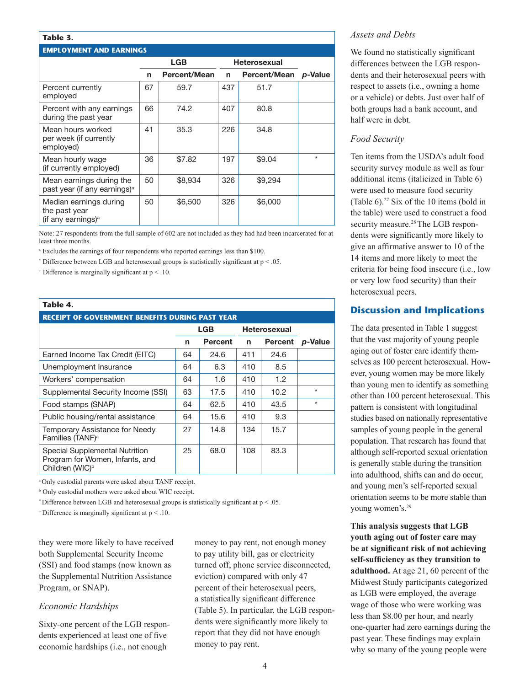#### **Table 3.**

#### **EMPLOYMENT AND EARNINGS**

|                                                                      | LGB |                     |     | <b>Heterosexual</b> |         |
|----------------------------------------------------------------------|-----|---------------------|-----|---------------------|---------|
|                                                                      | n   | <b>Percent/Mean</b> | n   | <b>Percent/Mean</b> | p-Value |
| Percent currently<br>employed                                        | 67  | 59.7                | 437 | 51.7                |         |
| Percent with any earnings<br>during the past year                    | 66  | 74.2                | 407 | 80.8                |         |
| Mean hours worked<br>per week (if currently<br>employed)             | 41  | 35.3                | 226 | 34.8                |         |
| Mean hourly wage<br>(if currently employed)                          | 36  | \$7.82              | 197 | \$9.04              | $\star$ |
| Mean earnings during the<br>past year (if any earnings) <sup>a</sup> | 50  | \$8,934             | 326 | \$9,294             |         |
| Median earnings during<br>the past year<br>(if any earnings) $a$     | 50  | \$6,500             | 326 | \$6,000             |         |

Note: 27 respondents from the full sample of 602 are not included as they had had been incarcerated for at least three months.

a Excludes the earnings of four respondents who reported earnings less than \$100.

\* Difference between LGB and heterosexual groups is statistically significant at  $p < .05$ .

 $+$  Difference is marginally significant at  $p < 10$ .

#### **Table 4.**

## **RECEIPT OF GOVERNMENT BENEFITS DURING PAST YEAR**  LGB Heterosexual n Percent n Percent *p*-Value

| Earned Income Tax Credit (EITC)                                                                  | 64 | 24.6 | 411 | 24.6 |         |
|--------------------------------------------------------------------------------------------------|----|------|-----|------|---------|
| Unemployment Insurance                                                                           | 64 | 6.3  | 410 | 8.5  |         |
| Workers' compensation                                                                            | 64 | 1.6  | 410 | 1.2  |         |
| Supplemental Security Income (SSI)                                                               | 63 | 17.5 | 410 | 10.2 | $\star$ |
| Food stamps (SNAP)                                                                               | 64 | 62.5 | 410 | 43.5 | $\star$ |
| Public housing/rental assistance                                                                 | 64 | 15.6 | 410 | 9.3  |         |
| Temporary Assistance for Needy<br>Families (TANF) <sup>a</sup>                                   | 27 | 14.8 | 134 | 15.7 |         |
| Special Supplemental Nutrition<br>Program for Women, Infants, and<br>Children (WIC) <sup>b</sup> | 25 | 68.0 | 108 | 83.3 |         |

<sup>a</sup>Only custodial parents were asked about TANF receipt.

b Only custodial mothers were asked about WIC receipt.

\* Difference between LGB and heterosexual groups is statistically significant at  $p < .05$ .

 $+$ Difference is marginally significant at  $p < 0.10$ .

they were more likely to have received both Supplemental Security Income (SSI) and food stamps (now known as the Supplemental Nutrition Assistance Program, or SNAP).

#### *Economic Hardships*

Sixty-one percent of the LGB respondents experienced at least one of five economic hardships (i.e., not enough

money to pay rent, not enough money to pay utility bill, gas or electricity turned off, phone service disconnected, eviction) compared with only 47 percent of their heterosexual peers, a statistically significant difference (Table 5). In particular, the LGB respondents were significantly more likely to report that they did not have enough money to pay rent.

#### *Assets and Debts*

We found no statistically significant differences between the LGB respondents and their heterosexual peers with respect to assets (i.e., owning a home or a vehicle) or debts. Just over half of both groups had a bank account, and half were in debt.

#### *Food Security*

Ten items from the USDA's adult food security survey module as well as four additional items (italicized in Table 6) were used to measure food security (Table 6).27 Six of the 10 items (bold in the table) were used to construct a food security measure.<sup>28</sup> The LGB respondents were significantly more likely to give an affirmative answer to 10 of the 14 items and more likely to meet the criteria for being food insecure (i.e., low or very low food security) than their heterosexual peers.

#### **Discussion and Implications**

The data presented in Table 1 suggest that the vast majority of young people aging out of foster care identify themselves as 100 percent heterosexual. However, young women may be more likely than young men to identify as something other than 100 percent heterosexual. This pattern is consistent with longitudinal studies based on nationally representative samples of young people in the general population. That research has found that although self-reported sexual orientation is generally stable during the transition into adulthood, shifts can and do occur, and young men's self-reported sexual orientation seems to be more stable than young women's.29

**This analysis suggests that LGB youth aging out of foster care may be at significant risk of not achieving self-sufficiency as they transition to adulthood.** At age 21, 60 percent of the Midwest Study participants categorized as LGB were employed, the average wage of those who were working was less than \$8.00 per hour, and nearly one-quarter had zero earnings during the past year. These findings may explain why so many of the young people were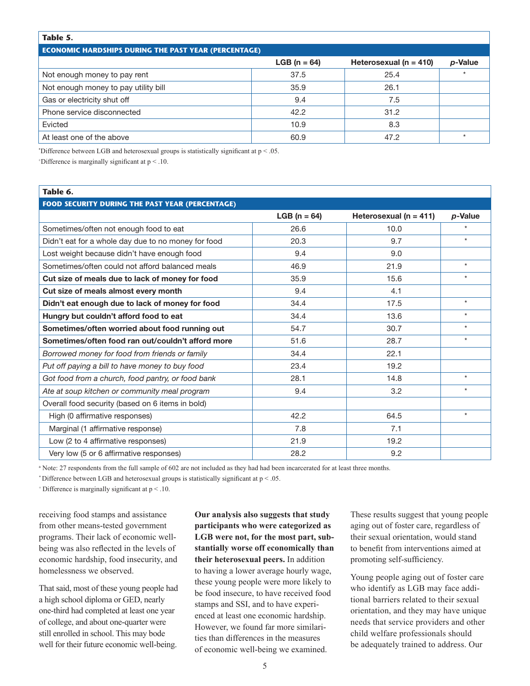#### **Table 5.**

#### **ECONOMIC HARDSHIPS DURING THE PAST YEAR (PERCENTAGE)**

|                                      | <b>LGB</b> ( $n = 64$ ) | Heterosexual ( $n = 410$ ) | p-Value |
|--------------------------------------|-------------------------|----------------------------|---------|
| Not enough money to pay rent         | 37.5                    | 25.4                       |         |
| Not enough money to pay utility bill | 35.9                    | 26.1                       |         |
| Gas or electricity shut off          | 9.4                     | 7.5                        |         |
| Phone service disconnected           | 42.2                    | 31.2                       |         |
| Evicted                              | 10.9                    | 8.3                        |         |
| At least one of the above            | 60.9                    | 47.2                       |         |

\* Difference between LGB and heterosexual groups is statistically significant at p < .05.

+ Difference is marginally significant at p < .10.

#### **Table 6. FOOD SECURITY DURING THE PAST YEAR (PERCENTAGE)**  LGB (n = 64) Heterosexual (n = 411) *p*-Value Sometimes/often not enough food to eat 10.0  $\sim$  26.6 10.0 Didn't eat for a whole day due to no money for food 20.3 9.7  $\sim$  20.9 Lost weight because didn't have enough food  $\vert$  9.4 9.0 9.0 Sometimes/often could not afford balanced meals 1998 16.9 16.9 21.9 21.9 16.9 21.9 16.1 2010 Cut size of meals due to lack of money for food  $\sim$  35.9 15.6 15.6  $\sim$  15.6  $\sim$   $\sim$   $\sim$ Cut size of meals almost every month 6 and 9.4 5 and 9.4 and 4.1 Didn't eat enough due to lack of money for food 34.4 34.4 17.5 Hungry but couldn't afford food to eat  $\begin{array}{ccc} 34.4 & 34.4 & 13.6 \end{array}$  \* Sometimes/often worried about food running out  $\overline{54.7}$  54.7 30.7  $\overline{30.7}$  31.7 Sometimes/often food ran out/couldn't afford more  $\sim 51.6$  28.7  $\sim$ *Borrowed money for food from friends or family* 34.4 22.1 Put off paying a bill to have money to buy food 23.4 23.4 19.2 *Got food from a church, food pantry, or food bank* 28.1 14.8 \* Ate at soup kitchen or community meal program  $\sim$  9.4  $\sim$  3.2  $\sim$ Overall food security (based on 6 items in bold) High (0 affirmative responses)  $\sim$  42.2 64.5 64.5  $\sim$  42.2 Marginal (1 affirmative response) 7.8 7.1 Low (2 to 4 affirmative responses) 19.2 Very low (5 or 6 affirmative responses) 28.2 28.2 9.2

a Note: 27 respondents from the full sample of 602 are not included as they had had been incarcerated for at least three months.

\* Difference between LGB and heterosexual groups is statistically significant at  $p < .05$ .

 $+$  Difference is marginally significant at  $p < 0.10$ .

receiving food stamps and assistance from other means-tested government programs. Their lack of economic wellbeing was also reflected in the levels of economic hardship, food insecurity, and homelessness we observed.

That said, most of these young people had a high school diploma or GED, nearly one-third had completed at least one year of college, and about one-quarter were still enrolled in school. This may bode well for their future economic well-being.

**Our analysis also suggests that study participants who were categorized as LGB were not, for the most part, substantially worse off economically than their heterosexual peers.** In addition to having a lower average hourly wage, these young people were more likely to be food insecure, to have received food stamps and SSI, and to have experienced at least one economic hardship. However, we found far more similarities than differences in the measures of economic well-being we examined.

These results suggest that young people aging out of foster care, regardless of their sexual orientation, would stand to benefit from interventions aimed at promoting self-sufficiency.

Young people aging out of foster care who identify as LGB may face additional barriers related to their sexual orientation, and they may have unique needs that service providers and other child welfare professionals should be adequately trained to address. Our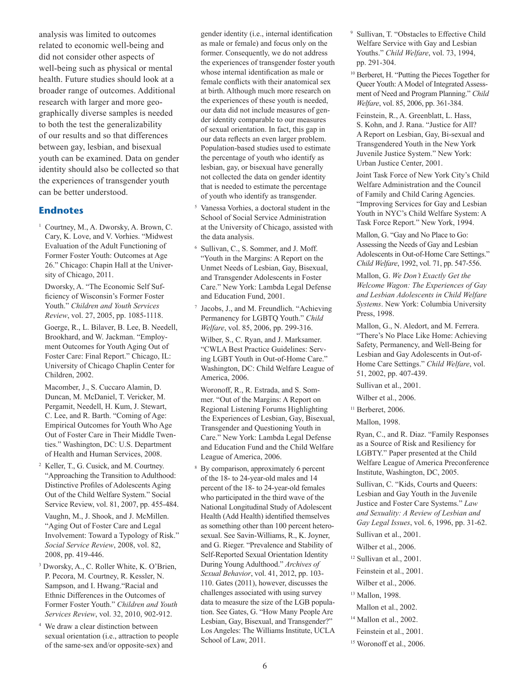analysis was limited to outcomes related to economic well-being and did not consider other aspects of well-being such as physical or mental health. Future studies should look at a broader range of outcomes. Additional research with larger and more geographically diverse samples is needed to both the test the generalizability of our results and so that differences between gay, lesbian, and bisexual youth can be examined. Data on gender identity should also be collected so that the experiences of transgender youth can be better understood.

#### **Endnotes**

1 Courtney, M., A. Dworsky, A. Brown, C. Cary, K. Love, and V. Vorhies. "Midwest Evaluation of the Adult Functioning of Former Foster Youth: Outcomes at Age 26." Chicago: Chapin Hall at the University of Chicago, 2011.

 Dworsky, A. "The Economic Self Sufficiency of Wisconsin's Former Foster Youth." *Children and Youth Services Review*, vol. 27, 2005, pp. 1085-1118.

 Goerge, R., L. Bilaver, B. Lee, B. Needell, Brookhard, and W. Jackman. "Employment Outcomes for Youth Aging Out of Foster Care: Final Report." Chicago, IL: University of Chicago Chaplin Center for Children, 2002.

 Macomber, J., S. Cuccaro Alamin, D. Duncan, M. McDaniel, T. Vericker, M. Pergamit, Needell, H. Kum, J. Stewart, C. Lee, and R. Barth. "Coming of Age: Empirical Outcomes for Youth Who Age Out of Foster Care in Their Middle Twenties." Washington, DC: U.S. Department of Health and Human Services, 2008.

2 Keller, T., G. Cusick, and M. Courtney. "Approaching the Transition to Adulthood: Distinctive Profiles of Adolescents Aging Out of the Child Welfare System." Social Service Review, vol. 81, 2007, pp. 455-484.

Vaughn, M., J. Shook, and J. McMillen. "Aging Out of Foster Care and Legal Involvement: Toward a Typology of Risk." *Social Service Review*, 2008, vol. 82, 2008, pp. 419-446.

- 3 Dworsky, A., C. Roller White, K. O'Brien, P. Pecora, M. Courtney, R. Kessler, N. Sampson, and I. Hwang."Racial and Ethnic Differences in the Outcomes of Former Foster Youth." *Children and Youth Services Review*, vol. 32, 2010, 902-912.
- <sup>4</sup> We draw a clear distinction between sexual orientation (i.e., attraction to people of the same-sex and/or opposite-sex) and

gender identity (i.e., internal identification as male or female) and focus only on the former. Consequently, we do not address the experiences of transgender foster youth whose internal identification as male or female conflicts with their anatomical sex at birth. Although much more research on the experiences of these youth is needed, our data did not include measures of gender identity comparable to our measures of sexual orientation. In fact, this gap in our data reflects an even larger problem. Population-based studies used to estimate the percentage of youth who identify as lesbian, gay, or bisexual have generally not collected the data on gender identity that is needed to estimate the percentage of youth who identify as transgender.

- $5$  Vanessa Vorhies, a doctoral student in the School of Social Service Administration at the University of Chicago, assisted with the data analysis.
- 6 Sullivan, C., S. Sommer, and J. Moff. "Youth in the Margins: A Report on the Unmet Needs of Lesbian, Gay, Bisexual, and Transgender Adolescents in Foster Care." New York: Lambda Legal Defense and Education Fund, 2001.
- Jacobs, J., and M. Freundlich. "Achieving Permanency for LGBTQ Youth." *Child Welfare*, vol. 85, 2006, pp. 299-316.

Wilber, S., C. Ryan, and J. Marksamer. "CWLA Best Practice Guidelines: Serving LGBT Youth in Out-of-Home Care." Washington, DC: Child Welfare League of America, 2006.

Woronoff, R., R. Estrada, and S. Sommer. "Out of the Margins: A Report on Regional Listening Forums Highlighting the Experiences of Lesbian, Gay, Bisexual, Transgender and Questioning Youth in Care." New York: Lambda Legal Defense and Education Fund and the Child Welfare League of America, 2006.

8 By comparison, approximately 6 percent of the 18- to 24-year-old males and 14 percent of the 18- to 24-year-old females who participated in the third wave of the National Longitudinal Study of Adolescent Health (Add Health) identified themselves as something other than 100 percent heterosexual. See Savin-Williams, R., K. Joyner, and G. Rieger. "Prevalence and Stability of Self-Reported Sexual Orientation Identity During Young Adulthood." *Archives of Sexual Behavior*, vol. 41, 2012, pp. 103- 110. Gates (2011), however, discusses the challenges associated with using survey data to measure the size of the LGB population. See Gates, G. "How Many People Are Lesbian, Gay, Bisexual, and Transgender?" Los Angeles: The Williams Institute, UCLA School of Law, 2011.

- 9 Sullivan, T. "Obstacles to Effective Child Welfare Service with Gay and Lesbian Youths." *Child Welfare*, vol. 73, 1994, pp. 291-304.
- 10 Berberet, H. "Putting the Pieces Together for Queer Youth: A Model of Integrated Assessment of Need and Program Planning." *Child Welfare*, vol. 85, 2006, pp. 361-384.

 Feinstein, R., A. Greenblatt, L. Hass, S. Kohn, and J. Rana. "Justice for All? A Report on Lesbian, Gay, Bi-sexual and Transgendered Youth in the New York Juvenile Justice System." New York: Urban Justice Center, 2001.

 Joint Task Force of New York City's Child Welfare Administration and the Council of Family and Child Caring Agencies. "Improving Services for Gay and Lesbian Youth in NYC's Child Welfare System: A Task Force Report." New York, 1994.

 Mallon, G. "Gay and No Place to Go: Assessing the Needs of Gay and Lesbian Adolescents in Out-of-Home Care Settings." *Child Welfare*, 1992, vol. 71, pp. 547-556.

 Mallon, G. *We Don't Exactly Get the Welcome Wagon: The Experiences of Gay and Lesbian Adolescents in Child Welfare Systems*. New York: Columbia University Press, 1998.

 Mallon, G., N. Aledort, and M. Ferrera. "There's No Place Like Home: Achieving Safety, Permanency, and Well-Being for Lesbian and Gay Adolescents in Out-of-Home Care Settings." *Child Welfare*, vol. 51, 2002, pp. 407-439.

Sullivan et al., 2001.

Wilber et al., 2006.

 $11$  Berberet, 2006.

Mallon, 1998.

 Ryan, C., and R. Diaz. "Family Responses as a Source of Risk and Resiliency for LGBTY." Paper presented at the Child Welfare League of America Preconference Institute, Washington, DC, 2005.

 Sullivan, C. "Kids, Courts and Queers: Lesbian and Gay Youth in the Juvenile Justice and Foster Care Systems." *Law and Sexuality: A Review of Lesbian and Gay Legal Issues*, vol. 6, 1996, pp. 31-62.

Sullivan et al., 2001.

Wilber et al., 2006.

<sup>12</sup> Sullivan et al., 2001.

Feinstein et al., 2001.

- Wilber et al., 2006. 13 Mallon, 1998.
- Mallon et al., 2002.
- <sup>14</sup> Mallon et al., 2002.
- Feinstein et al., 2001.
- 15 Woronoff et al., 2006.